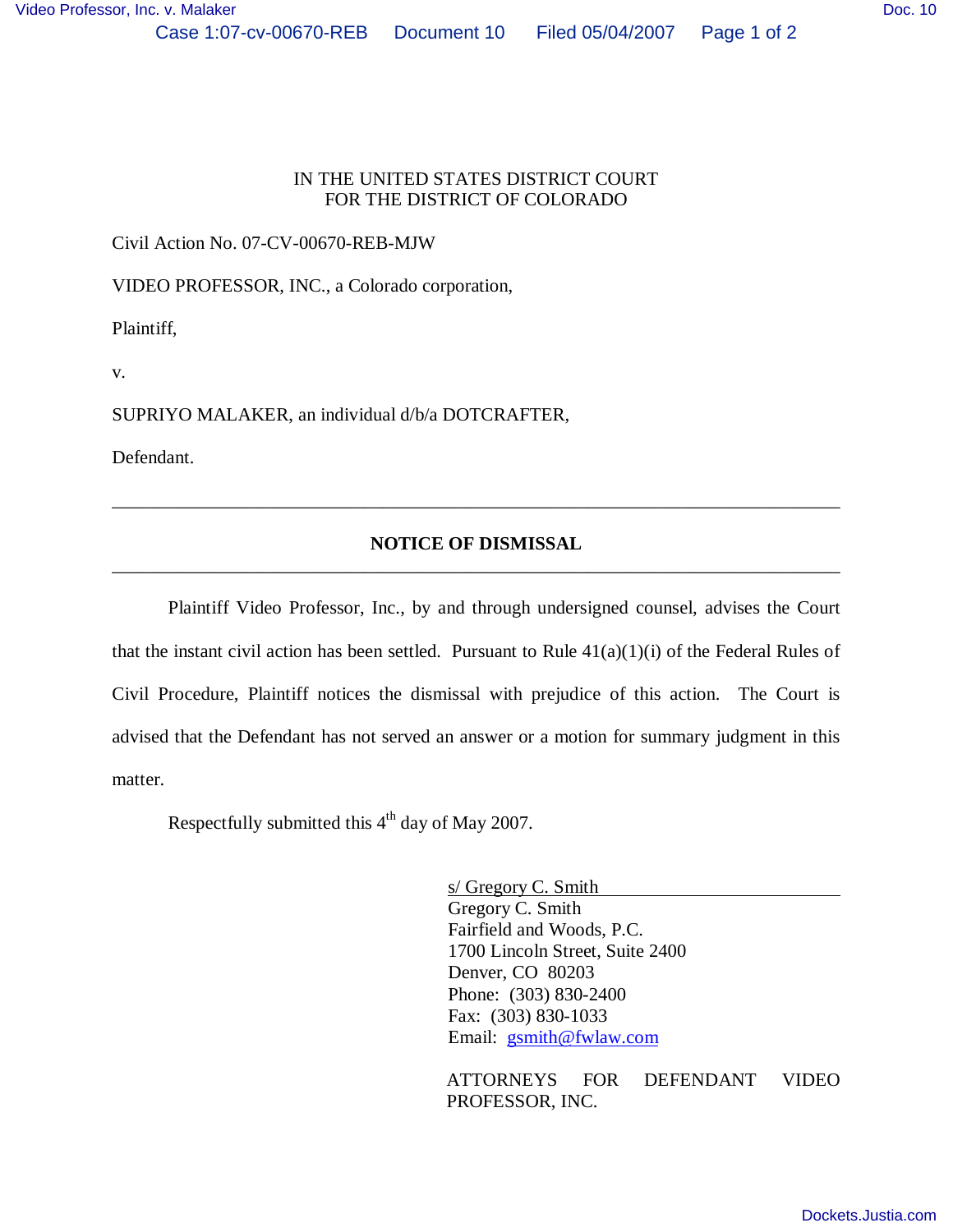## IN THE UNITED STATES DISTRICT COURT FOR THE DISTRICT OF COLORADO

Civil Action No. 07-CV-00670-REB-MJW

VIDEO PROFESSOR, INC., a Colorado corporation,

Plaintiff,

v.

SUPRIYO MALAKER, an individual d/b/a DOTCRAFTER,

Defendant.

## **NOTICE OF DISMISSAL** \_\_\_\_\_\_\_\_\_\_\_\_\_\_\_\_\_\_\_\_\_\_\_\_\_\_\_\_\_\_\_\_\_\_\_\_\_\_\_\_\_\_\_\_\_\_\_\_\_\_\_\_\_\_\_\_\_\_\_\_\_\_\_\_\_\_\_\_\_\_\_\_\_\_\_\_\_\_

\_\_\_\_\_\_\_\_\_\_\_\_\_\_\_\_\_\_\_\_\_\_\_\_\_\_\_\_\_\_\_\_\_\_\_\_\_\_\_\_\_\_\_\_\_\_\_\_\_\_\_\_\_\_\_\_\_\_\_\_\_\_\_\_\_\_\_\_\_\_\_\_\_\_\_\_\_\_

Plaintiff Video Professor, Inc., by and through undersigned counsel, advises the Court that the instant civil action has been settled. Pursuant to Rule  $41(a)(1)(i)$  of the Federal Rules of Civil Procedure, Plaintiff notices the dismissal with prejudice of this action. The Court is advised that the Defendant has not served an answer or a motion for summary judgment in this matter.

Respectfully submitted this  $4<sup>th</sup>$  day of May 2007.

s/ Gregory C. Smith Gregory C. Smith Fairfield and Woods, P.C. 1700 Lincoln Street, Suite 2400 Denver, CO 80203 Phone: (303) 830-2400 Fax: (303) 830-1033 Email: gsmith@fwlaw.com

ATTORNEYS FOR DEFENDANT VIDEO PROFESSOR, INC.